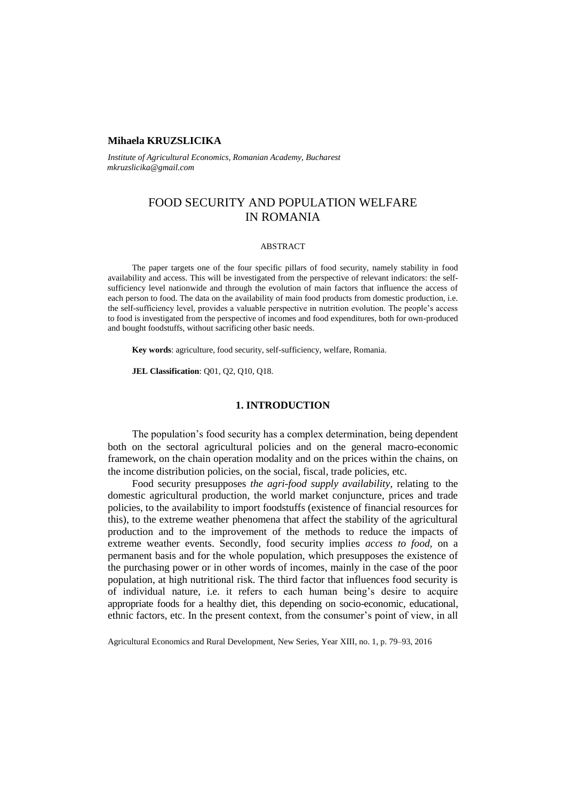# **Mihaela KRUZSLICIKA**

*Institute of Agricultural Economics, Romanian Academy, Bucharest mkruzslicika@gmail.com*

# FOOD SECURITY AND POPULATION WELFARE IN ROMANIA

# ABSTRACT

The paper targets one of the four specific pillars of food security, namely stability in food availability and access. This will be investigated from the perspective of relevant indicators: the selfsufficiency level nationwide and through the evolution of main factors that influence the access of each person to food. The data on the availability of main food products from domestic production, i.e. the self-sufficiency level, provides a valuable perspective in nutrition evolution. The people's access to food is investigated from the perspective of incomes and food expenditures, both for own-produced and bought foodstuffs, without sacrificing other basic needs.

**Key words**: agriculture, food security, self-sufficiency, welfare, Romania.

**JEL Classification**: Q01, Q2, Q10, Q18.

# **1. INTRODUCTION**

The population's food security has a complex determination, being dependent both on the sectoral agricultural policies and on the general macro-economic framework, on the chain operation modality and on the prices within the chains, on the income distribution policies, on the social, fiscal, trade policies, etc.

Food security presupposes *the agri-food supply availability,* relating to the domestic agricultural production, the world market conjuncture, prices and trade policies, to the availability to import foodstuffs (existence of financial resources for this), to the extreme weather phenomena that affect the stability of the agricultural production and to the improvement of the methods to reduce the impacts of extreme weather events. Secondly, food security implies *access to food,* on a permanent basis and for the whole population, which presupposes the existence of the purchasing power or in other words of incomes, mainly in the case of the poor population, at high nutritional risk. The third factor that influences food security is of individual nature, i.e. it refers to each human being's desire to acquire appropriate foods for a healthy diet, this depending on socio-economic, educational, ethnic factors, etc. In the present context, from the consumer's point of view, in all

Agricultural Economics and Rural Development, New Series, Year XIII, no. 1, p. 79–93, 2016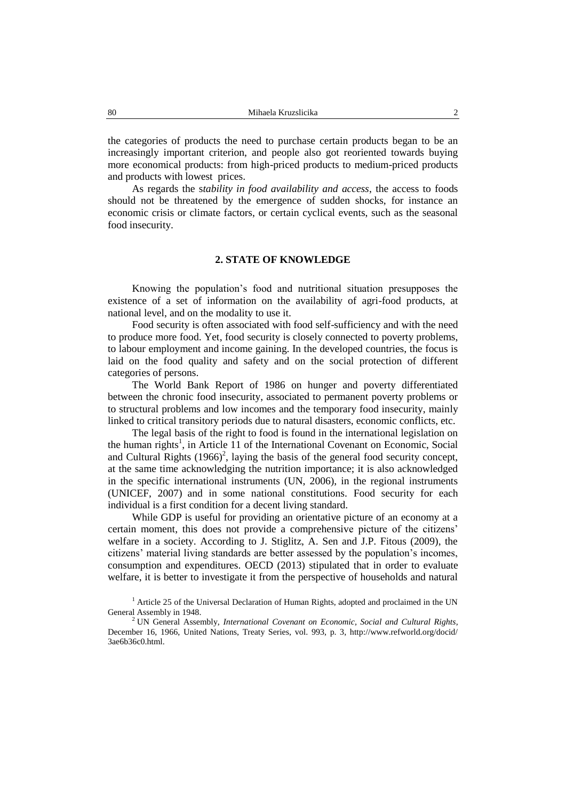the categories of products the need to purchase certain products began to be an increasingly important criterion, and people also got reoriented towards buying more economical products: from high-priced products to medium-priced products and products with lowest prices.

As regards the s*tability in food availability and access*, the access to foods should not be threatened by the emergence of sudden shocks, for instance an economic crisis or climate factors, or certain cyclical events, such as the seasonal food insecurity.

## **2. STATE OF KNOWLEDGE**

Knowing the population's food and nutritional situation presupposes the existence of a set of information on the availability of agri-food products, at national level, and on the modality to use it.

Food security is often associated with food self-sufficiency and with the need to produce more food. Yet, food security is closely connected to poverty problems, to labour employment and income gaining. In the developed countries, the focus is laid on the food quality and safety and on the social protection of different categories of persons.

The World Bank Report of 1986 on hunger and poverty differentiated between the chronic food insecurity, associated to permanent poverty problems or to structural problems and low incomes and the temporary food insecurity, mainly linked to critical transitory periods due to natural disasters, economic conflicts, etc.

The legal basis of the right to food is found in the international legislation on the human rights<sup>1</sup>, in Article 11 of the International Covenant on Economic, Social and Cultural Rights  $(1966)^2$ , laying the basis of the general food security concept, at the same time acknowledging the nutrition importance; it is also acknowledged in the specific international instruments (UN, 2006), in the regional instruments (UNICEF, 2007) and in some national constitutions. Food security for each individual is a first condition for a decent living standard.

While GDP is useful for providing an orientative picture of an economy at a certain moment, this does not provide a comprehensive picture of the citizens' welfare in a society. According to J. Stiglitz, A. Sen and J.P. Fitous (2009), the citizens' material living standards are better assessed by the population's incomes, consumption and expenditures. OECD (2013) stipulated that in order to evaluate welfare, it is better to investigate it from the perspective of households and natural

<sup>1</sup> Article 25 of the Universal Declaration of Human Rights, adopted and proclaimed in the UN General Assembly in 1948.

<sup>2</sup> UN General Assembly, *International Covenant on Economic, Social and Cultural Rights*, December 16, 1966, United Nations, Treaty Series, vol. 993, p. 3, http://www.refworld.org/docid/ 3ae6b36c0.html.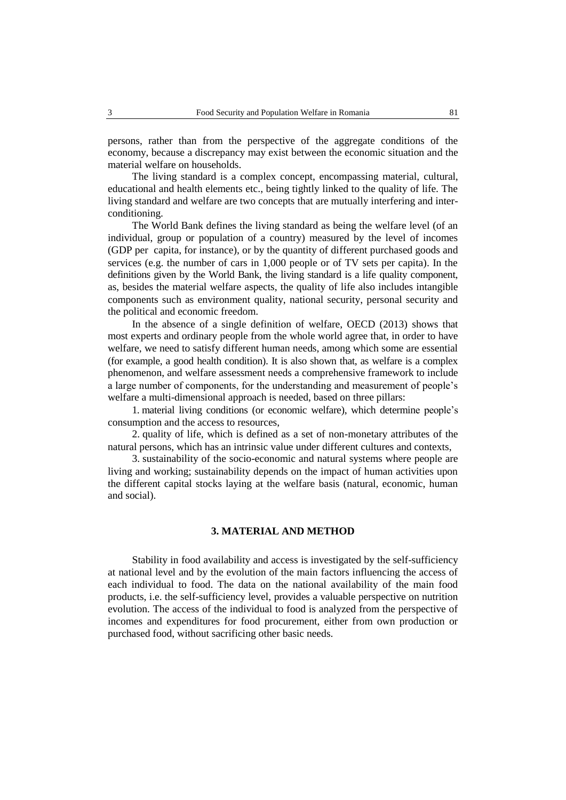persons, rather than from the perspective of the aggregate conditions of the economy, because a discrepancy may exist between the economic situation and the material welfare on households.

The living standard is a complex concept, encompassing material, cultural, educational and health elements etc., being tightly linked to the quality of life. The living standard and welfare are two concepts that are mutually interfering and interconditioning.

The World Bank defines the living standard as being the welfare level (of an individual, group or population of a country) measured by the level of incomes (GDP per capita, for instance), or by the quantity of different purchased goods and services (e.g. the number of cars in 1,000 people or of TV sets per capita). In the definitions given by the World Bank, the living standard is a life quality component, as, besides the material welfare aspects, the quality of life also includes intangible components such as environment quality, national security, personal security and the political and economic freedom.

In the absence of a single definition of welfare, OECD (2013) shows that most experts and ordinary people from the whole world agree that, in order to have welfare, we need to satisfy different human needs, among which some are essential (for example, a good health condition). It is also shown that, as welfare is a complex phenomenon, and welfare assessment needs a comprehensive framework to include a large number of components, for the understanding and measurement of people's welfare a multi-dimensional approach is needed, based on three pillars:

1. material living conditions (or economic welfare), which determine people's consumption and the access to resources,

2. quality of life, which is defined as a set of non-monetary attributes of the natural persons, which has an intrinsic value under different cultures and contexts,

3. sustainability of the socio-economic and natural systems where people are living and working; sustainability depends on the impact of human activities upon the different capital stocks laying at the welfare basis (natural, economic, human and social).

# **3. MATERIAL AND METHOD**

Stability in food availability and access is investigated by the self-sufficiency at national level and by the evolution of the main factors influencing the access of each individual to food. The data on the national availability of the main food products, i.e. the self-sufficiency level, provides a valuable perspective on nutrition evolution. The access of the individual to food is analyzed from the perspective of incomes and expenditures for food procurement, either from own production or purchased food, without sacrificing other basic needs.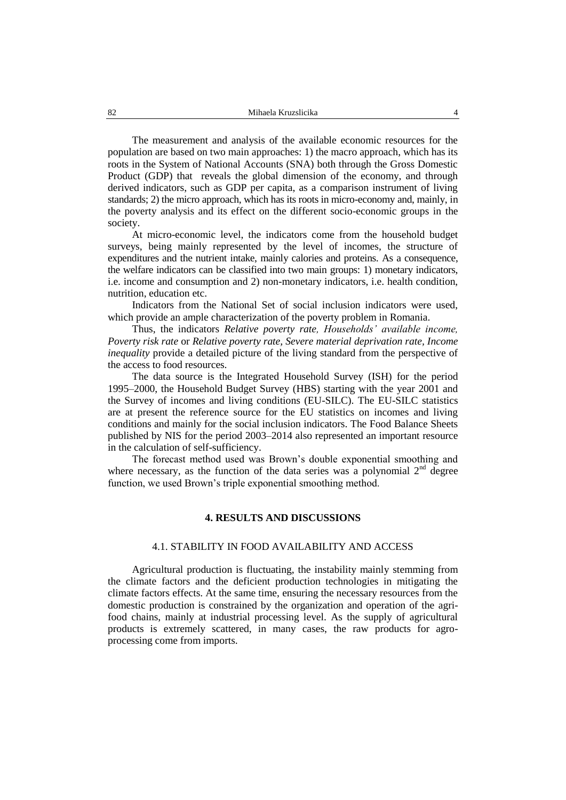The measurement and analysis of the available economic resources for the population are based on two main approaches: 1) the macro approach, which has its roots in the System of National Accounts (SNA) both through the Gross Domestic Product (GDP) that reveals the global dimension of the economy, and through derived indicators, such as GDP per capita, as a comparison instrument of living standards; 2) the micro approach, which has its roots in micro-economy and, mainly, in the poverty analysis and its effect on the different socio-economic groups in the society.

At micro-economic level, the indicators come from the household budget surveys, being mainly represented by the level of incomes, the structure of expenditures and the nutrient intake, mainly calories and proteins. As a consequence, the welfare indicators can be classified into two main groups: 1) monetary indicators, i.e. income and consumption and 2) non-monetary indicators, i.e. health condition, nutrition, education etc.

Indicators from the National Set of social inclusion indicators were used, which provide an ample characterization of the poverty problem in Romania.

Thus, the indicators *Relative poverty rate, Households' available income, Poverty risk rate* or *Relative poverty rate, Severe material deprivation rate, Income inequality* provide a detailed picture of the living standard from the perspective of the access to food resources.

The data source is the Integrated Household Survey (ISH) for the period 1995–2000, the Household Budget Survey (HBS) starting with the year 2001 and the Survey of incomes and living conditions (EU-SILC). The EU-SILC statistics are at present the reference source for the EU statistics on incomes and living conditions and mainly for the social inclusion indicators. The Food Balance Sheets published by NIS for the period 2003–2014 also represented an important resource in the calculation of self-sufficiency.

The forecast method used was Brown's double exponential smoothing and where necessary, as the function of the data series was a polynomial  $2<sup>nd</sup>$  degree function, we used Brown's triple exponential smoothing method.

# **4. RESULTS AND DISCUSSIONS**

# 4.1. STABILITY IN FOOD AVAILABILITY AND ACCESS

Agricultural production is fluctuating, the instability mainly stemming from the climate factors and the deficient production technologies in mitigating the climate factors effects. At the same time, ensuring the necessary resources from the domestic production is constrained by the organization and operation of the agrifood chains, mainly at industrial processing level. As the supply of agricultural products is extremely scattered, in many cases, the raw products for agroprocessing come from imports.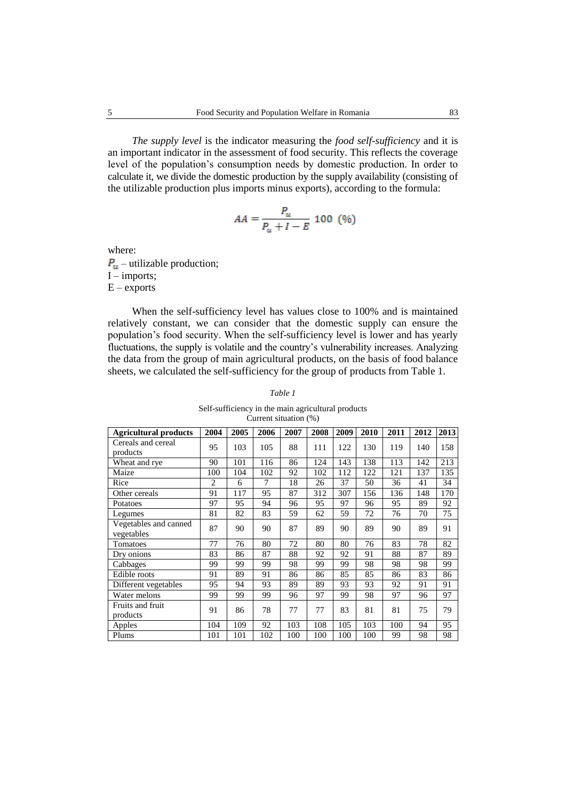*The supply level* is the indicator measuring the *food self-sufficiency* and it is an important indicator in the assessment of food security. This reflects the coverage level of the population's consumption needs by domestic production. In order to calculate it, we divide the domestic production by the supply availability (consisting of the utilizable production plus imports minus exports), according to the formula:

$$
AA = \frac{P_u}{P_u + I - E} \ 100 \ (%)
$$

where:

 $P_u$  – utilizable production;  $I$  – imports;  $E$  – exports

When the self-sufficiency level has values close to 100% and is maintained relatively constant, we can consider that the domestic supply can ensure the population's food security. When the self-sufficiency level is lower and has yearly fluctuations, the supply is volatile and the country's vulnerability increases. Analyzing the data from the group of main agricultural products, on the basis of food balance sheets, we calculated the self-sufficiency for the group of products from Table 1.

#### *Table 1*

Self-sufficiency in the main agricultural products Current situation (%)

| <b>Agricultural products</b>        | 2004           | 2005 | 2006 | 2007 | 2008 | 2009 | 2010 | 2011 | 2012 | 2013 |
|-------------------------------------|----------------|------|------|------|------|------|------|------|------|------|
| Cereals and cereal<br>products      | 95             | 103  | 105  | 88   | 111  | 122  | 130  | 119  | 140  | 158  |
| Wheat and rye                       | 90             | 101  | 116  | 86   | 124  | 143  | 138  | 113  | 142  | 213  |
| Maize                               | 100            | 104  | 102  | 92   | 102  | 112  | 122  | 121  | 137  | 135  |
| Rice                                | $\overline{c}$ | 6    | 7    | 18   | 26   | 37   | 50   | 36   | 41   | 34   |
| Other cereals                       | 91             | 117  | 95   | 87   | 312  | 307  | 156  | 136  | 148  | 170  |
| Potatoes                            | 97             | 95   | 94   | 96   | 95   | 97   | 96   | 95   | 89   | 92   |
| Legumes                             | 81             | 82   | 83   | 59   | 62   | 59   | 72   | 76   | 70   | 75   |
| Vegetables and canned<br>vegetables | 87             | 90   | 90   | 87   | 89   | 90   | 89   | 90   | 89   | 91   |
| Tomatoes                            | 77             | 76   | 80   | 72   | 80   | 80   | 76   | 83   | 78   | 82   |
| Dry onions                          | 83             | 86   | 87   | 88   | 92   | 92   | 91   | 88   | 87   | 89   |
| Cabbages                            | 99             | 99   | 99   | 98   | 99   | 99   | 98   | 98   | 98   | 99   |
| Edible roots                        | 91             | 89   | 91   | 86   | 86   | 85   | 85   | 86   | 83   | 86   |
| Different vegetables                | 95             | 94   | 93   | 89   | 89   | 93   | 93   | 92   | 91   | 91   |
| Water melons                        | 99             | 99   | 99   | 96   | 97   | 99   | 98   | 97   | 96   | 97   |
| Fruits and fruit<br>products        | 91             | 86   | 78   | 77   | 77   | 83   | 81   | 81   | 75   | 79   |
| Apples                              | 104            | 109  | 92   | 103  | 108  | 105  | 103  | 100  | 94   | 95   |
| Plums                               | 101            | 101  | 102  | 100  | 100  | 100  | 100  | 99   | 98   | 98   |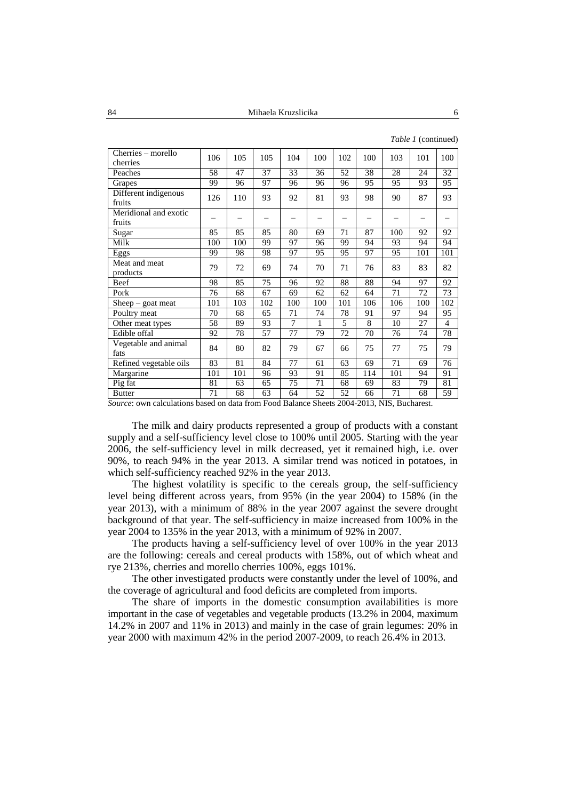*Table 1* (continued)

| Cherries – morello              | 106 | 105 | 105 | 104 | 100 | 102 | 100 | 103 | 101 | 100            |
|---------------------------------|-----|-----|-----|-----|-----|-----|-----|-----|-----|----------------|
| cherries                        |     |     |     |     |     |     |     |     |     |                |
| Peaches                         | 58  | 47  | 37  | 33  | 36  | 52  | 38  | 28  | 24  | 32             |
| Grapes                          | 99  | 96  | 97  | 96  | 96  | 96  | 95  | 95  | 93  | 95             |
| Different indigenous<br>fruits  | 126 | 110 | 93  | 92  | 81  | 93  | 98  | 90  | 87  | 93             |
| Meridional and exotic<br>fruits |     | —   |     |     | —   |     | -   |     | —   |                |
| Sugar                           | 85  | 85  | 85  | 80  | 69  | 71  | 87  | 100 | 92  | 92             |
| Milk                            | 100 | 100 | 99  | 97  | 96  | 99  | 94  | 93  | 94  | 94             |
| Eggs                            | 99  | 98  | 98  | 97  | 95  | 95  | 97  | 95  | 101 | 101            |
| Meat and meat<br>products       | 79  | 72  | 69  | 74  | 70  | 71  | 76  | 83  | 83  | 82             |
| Beef                            | 98  | 85  | 75  | 96  | 92  | 88  | 88  | 94  | 97  | 92             |
| Pork                            | 76  | 68  | 67  | 69  | 62  | 62  | 64  | 71  | 72  | 73             |
| Sheep - goat meat               | 101 | 103 | 102 | 100 | 100 | 101 | 106 | 106 | 100 | 102            |
| Poultry meat                    | 70  | 68  | 65  | 71  | 74  | 78  | 91  | 97  | 94  | 95             |
| Other meat types                | 58  | 89  | 93  | 7   | 1   | 5   | 8   | 10  | 27  | $\overline{4}$ |
| Edible offal                    | 92  | 78  | 57  | 77  | 79  | 72  | 70  | 76  | 74  | 78             |
| Vegetable and animal<br>fats    | 84  | 80  | 82  | 79  | 67  | 66  | 75  | 77  | 75  | 79             |
| Refined vegetable oils          | 83  | 81  | 84  | 77  | 61  | 63  | 69  | 71  | 69  | 76             |
| Margarine                       | 101 | 101 | 96  | 93  | 91  | 85  | 114 | 101 | 94  | 91             |
| Pig fat                         | 81  | 63  | 65  | 75  | 71  | 68  | 69  | 83  | 79  | 81             |
| <b>Butter</b>                   | 71  | 68  | 63  | 64  | 52  | 52  | 66  | 71  | 68  | 59             |

*Source*: own calculations based on data from Food Balance Sheets 2004-2013, NIS, Bucharest.

The milk and dairy products represented a group of products with a constant supply and a self-sufficiency level close to 100% until 2005. Starting with the year 2006, the self-sufficiency level in milk decreased, yet it remained high, i.e. over 90%, to reach 94% in the year 2013. A similar trend was noticed in potatoes, in which self-sufficiency reached 92% in the year 2013.

The highest volatility is specific to the cereals group, the self-sufficiency level being different across years, from 95% (in the year 2004) to 158% (in the year 2013), with a minimum of 88% in the year 2007 against the severe drought background of that year. The self-sufficiency in maize increased from 100% in the year 2004 to 135% in the year 2013, with a minimum of 92% in 2007.

The products having a self-sufficiency level of over 100% in the year 2013 are the following: cereals and cereal products with 158%, out of which wheat and rye 213%, cherries and morello cherries 100%, eggs 101%.

The other investigated products were constantly under the level of 100%, and the coverage of agricultural and food deficits are completed from imports.

The share of imports in the domestic consumption availabilities is more important in the case of vegetables and vegetable products (13.2% in 2004, maximum 14.2% in 2007 and 11% in 2013) and mainly in the case of grain legumes: 20% in year 2000 with maximum 42% in the period 2007-2009, to reach 26.4% in 2013.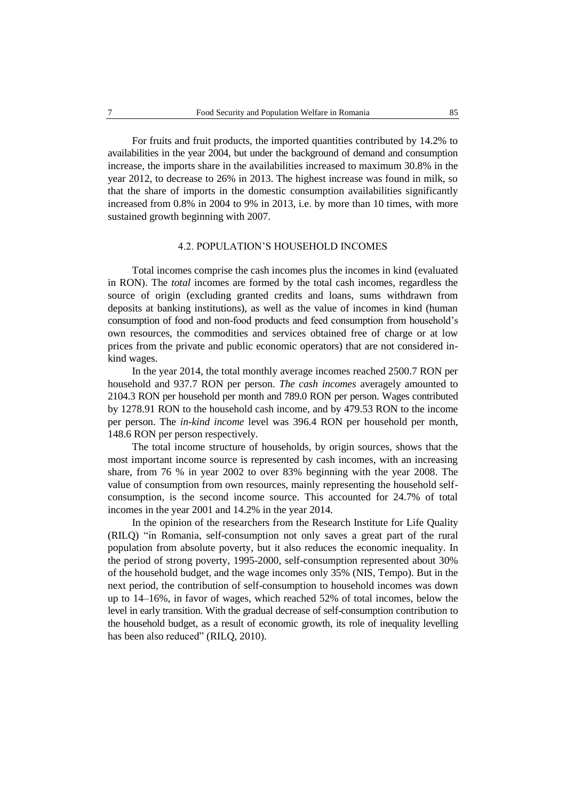For fruits and fruit products, the imported quantities contributed by 14.2% to availabilities in the year 2004, but under the background of demand and consumption increase, the imports share in the availabilities increased to maximum 30.8% in the year 2012, to decrease to 26% in 2013. The highest increase was found in milk, so that the share of imports in the domestic consumption availabilities significantly increased from 0.8% in 2004 to 9% in 2013, i.e. by more than 10 times, with more sustained growth beginning with 2007.

# 4.2. POPULATION'S HOUSEHOLD INCOMES

Total incomes comprise the cash incomes plus the incomes in kind (evaluated in RON). The *total* incomes are formed by the total cash incomes, regardless the source of origin (excluding granted credits and loans, sums withdrawn from deposits at banking institutions), as well as the value of incomes in kind (human consumption of food and non-food products and feed consumption from household's own resources, the commodities and services obtained free of charge or at low prices from the private and public economic operators) that are not considered inkind wages.

In the year 2014, the total monthly average incomes reached 2500.7 RON per household and 937.7 RON per person. *The cash incomes* averagely amounted to 2104.3 RON per household per month and 789.0 RON per person. Wages contributed by 1278.91 RON to the household cash income, and by 479.53 RON to the income per person. The *in-kind income* level was 396.4 RON per household per month, 148.6 RON per person respectively.

The total income structure of households, by origin sources, shows that the most important income source is represented by cash incomes, with an increasing share, from 76 % in year 2002 to over 83% beginning with the year 2008. The value of consumption from own resources, mainly representing the household selfconsumption, is the second income source. This accounted for 24.7% of total incomes in the year 2001 and 14.2% in the year 2014.

In the opinion of the researchers from the Research Institute for Life Quality (RILQ) "in Romania, self-consumption not only saves a great part of the rural population from absolute poverty, but it also reduces the economic inequality. In the period of strong poverty, 1995-2000, self-consumption represented about 30% of the household budget, and the wage incomes only 35% (NIS, Tempo). But in the next period, the contribution of self-consumption to household incomes was down up to 14–16%, in favor of wages, which reached 52% of total incomes, below the level in early transition. With the gradual decrease of self-consumption contribution to the household budget, as a result of economic growth, its role of inequality levelling has been also reduced" (RILQ, 2010).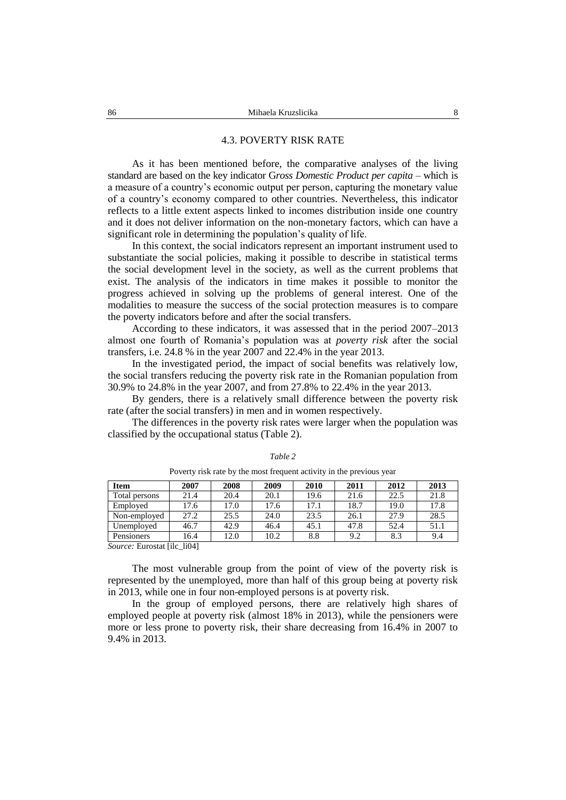## 4.3. POVERTY RISK RATE

As it has been mentioned before, the comparative analyses of the living standard are based on the key indicator G*ross Domestic Product per capita* – which is a measure of a country's economic output per person, capturing the monetary value of a country's economy compared to other countries. Nevertheless, this indicator reflects to a little extent aspects linked to incomes distribution inside one country and it does not deliver information on the non-monetary factors, which can have a significant role in determining the population's quality of life.

In this context, the social indicators represent an important instrument used to substantiate the social policies, making it possible to describe in statistical terms the social development level in the society, as well as the current problems that exist. The analysis of the indicators in time makes it possible to monitor the progress achieved in solving up the problems of general interest. One of the modalities to measure the success of the social protection measures is to compare the poverty indicators before and after the social transfers.

According to these indicators, it was assessed that in the period 2007–2013 almost one fourth of Romania's population was at *poverty risk* after the social transfers, i.e. 24.8 % in the year 2007 and 22.4% in the year 2013.

In the investigated period, the impact of social benefits was relatively low, the social transfers reducing the poverty risk rate in the Romanian population from 30.9% to 24.8% in the year 2007, and from 27.8% to 22.4% in the year 2013.

By genders, there is a relatively small difference between the poverty risk rate (after the social transfers) in men and in women respectively.

The differences in the poverty risk rates were larger when the population was classified by the occupational status (Table 2).

| <b>Item</b>                 | 2007 | 2008 | 2009 | 2010 | 2011 | 2012 | 2013 |
|-----------------------------|------|------|------|------|------|------|------|
| Total persons               | 21.4 | 20.4 | 20.1 | 19.6 | 21.6 | 22.5 | 21.8 |
| Employed                    | 17.6 | 17.0 | 17.6 | 17.1 | 18.7 | 19.0 | 17.8 |
| Non-employed                | 27.2 | 25.5 | 24.0 | 23.5 | 26.1 | 27.9 | 28.5 |
| Unemployed                  | 46.7 | 42.9 | 46.4 | 45.1 | 47.8 | 52.4 | 51.1 |
| Pensioners                  | 16.4 | 12.0 | 10.2 | 8.8  | 9.2  | 8.3  | 9.4  |
| Source: Eurostat Lile Li041 |      |      |      |      |      |      |      |

*Table 2*  Poverty risk rate by the most frequent activity in the previous year

*Source:* Eurostat [ilc\_li04]

The most vulnerable group from the point of view of the poverty risk is represented by the unemployed, more than half of this group being at poverty risk in 2013, while one in four non-employed persons is at poverty risk.

In the group of employed persons, there are relatively high shares of employed people at poverty risk (almost 18% in 2013), while the pensioners were more or less prone to poverty risk, their share decreasing from 16.4% in 2007 to 9.4% in 2013.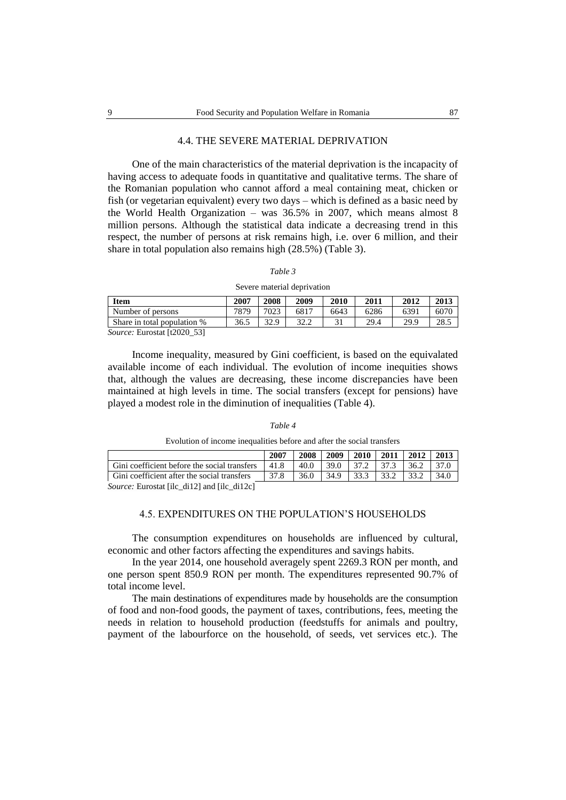### 4.4. THE SEVERE MATERIAL DEPRIVATION

One of the main characteristics of the material deprivation is the incapacity of having access to adequate foods in quantitative and qualitative terms. The share of the Romanian population who cannot afford a meal containing meat, chicken or fish (or vegetarian equivalent) every two days – which is defined as a basic need by the World Health Organization – was 36.5% in 2007, which means almost 8 million persons. Although the statistical data indicate a decreasing trend in this respect, the number of persons at risk remains high, i.e. over 6 million, and their share in total population also remains high (28.5%) (Table 3).

#### *Table 3*

Severe material deprivation

| <b>Item</b>                       | 2007 | 2008 | 2009          | 2010 | 2011 | 2012 | 2013 |
|-----------------------------------|------|------|---------------|------|------|------|------|
| Number of persons                 | 7879 | 7023 | 6817          | 6643 | 6286 | 6391 | 6070 |
| Share in total population %       | 36.5 | 37 Q | 30 D<br>ے ۔ ب |      | 29.4 | 29.9 | 28.5 |
| $Soukoa$ , Eurostat [t] $(0)$ 521 |      |      |               |      |      |      |      |

*Source:* Eurostat [t2020\_53]

Income inequality, measured by Gini coefficient, is based on the equivalated available income of each individual. The evolution of income inequities shows that, although the values are decreasing, these income discrepancies have been maintained at high levels in time. The social transfers (except for pensions) have played a modest role in the diminution of inequalities (Table 4).

#### *Table 4*

Evolution of income inequalities before and after the social transfers

|                                               | $200^{-}$ | 2008 | 2009 l       |                                    | $2010$   2011   2012 |        | 2013    |
|-----------------------------------------------|-----------|------|--------------|------------------------------------|----------------------|--------|---------|
| Gini coefficient before the social transfers  | 41.8      |      |              | $40.0$   39.0   37.2   37.3   36.2 |                      |        | $-37.0$ |
| Gini coefficient after the social transfers   | 37.8      | 36.0 | $134.9$ 33.3 |                                    | $\vert$ 33.2         | 1,33.2 | 34.0    |
| Roussey Expected Life di 191 and Life di 1951 |           |      |              |                                    |                      |        |         |

*Source:* Eurostat [ilc\_di12] and [ilc\_di12c]

### 4.5. EXPENDITURES ON THE POPULATION'S HOUSEHOLDS

The consumption expenditures on households are influenced by cultural, economic and other factors affecting the expenditures and savings habits.

In the year 2014, one household averagely spent 2269.3 RON per month, and one person spent 850.9 RON per month. The expenditures represented 90.7% of total income level.

The main destinations of expenditures made by households are the consumption of food and non-food goods, the payment of taxes, contributions, fees, meeting the needs in relation to household production (feedstuffs for animals and poultry, payment of the labourforce on the household, of seeds, vet services etc.). The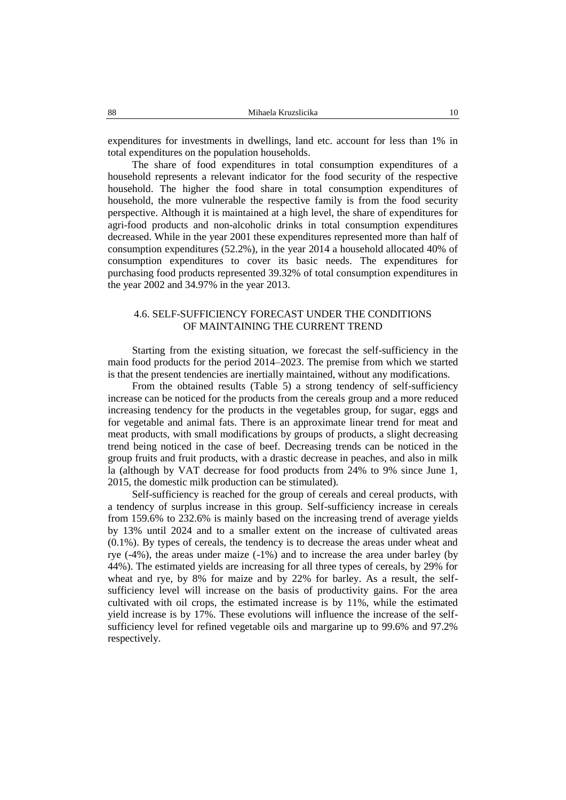expenditures for investments in dwellings, land etc. account for less than 1% in total expenditures on the population households.

The share of food expenditures in total consumption expenditures of a household represents a relevant indicator for the food security of the respective household. The higher the food share in total consumption expenditures of household, the more vulnerable the respective family is from the food security perspective. Although it is maintained at a high level, the share of expenditures for agri-food products and non-alcoholic drinks in total consumption expenditures decreased. While in the year 2001 these expenditures represented more than half of consumption expenditures (52.2%), in the year 2014 a household allocated 40% of consumption expenditures to cover its basic needs. The expenditures for purchasing food products represented 39.32% of total consumption expenditures in the year 2002 and 34.97% in the year 2013.

# 4.6. SELF-SUFFICIENCY FORECAST UNDER THE CONDITIONS OF MAINTAINING THE CURRENT TREND

Starting from the existing situation, we forecast the self-sufficiency in the main food products for the period 2014–2023. The premise from which we started is that the present tendencies are inertially maintained, without any modifications.

From the obtained results (Table 5) a strong tendency of self-sufficiency increase can be noticed for the products from the cereals group and a more reduced increasing tendency for the products in the vegetables group, for sugar, eggs and for vegetable and animal fats. There is an approximate linear trend for meat and meat products, with small modifications by groups of products, a slight decreasing trend being noticed in the case of beef. Decreasing trends can be noticed in the group fruits and fruit products, with a drastic decrease in peaches, and also in milk la (although by VAT decrease for food products from 24% to 9% since June 1, 2015, the domestic milk production can be stimulated).

Self-sufficiency is reached for the group of cereals and cereal products, with a tendency of surplus increase in this group. Self-sufficiency increase in cereals from 159.6% to 232.6% is mainly based on the increasing trend of average yields by 13% until 2024 and to a smaller extent on the increase of cultivated areas (0.1%). By types of cereals, the tendency is to decrease the areas under wheat and rye (-4%), the areas under maize (-1%) and to increase the area under barley (by 44%). The estimated yields are increasing for all three types of cereals, by 29% for wheat and rye, by 8% for maize and by 22% for barley. As a result, the selfsufficiency level will increase on the basis of productivity gains. For the area cultivated with oil crops, the estimated increase is by 11%, while the estimated yield increase is by 17%. These evolutions will influence the increase of the selfsufficiency level for refined vegetable oils and margarine up to 99.6% and 97.2% respectively.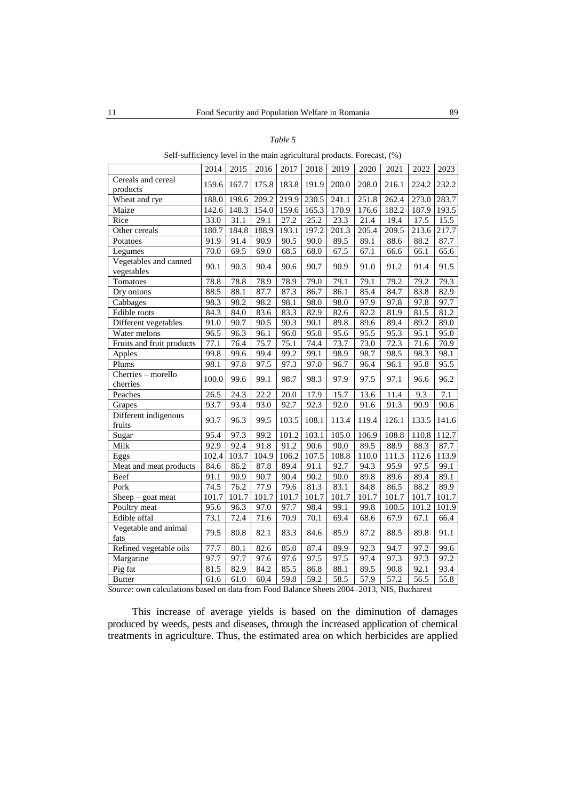| , |  |
|---|--|
|---|--|

Self-sufficiency level in the main agricultural products. Forecast, (%)

|                                              | 2014              | 2015              | 2016              | 2017              | 2018              | 2019  | 2020              | 2021              | 2022  | 2023              |
|----------------------------------------------|-------------------|-------------------|-------------------|-------------------|-------------------|-------|-------------------|-------------------|-------|-------------------|
| Cereals and cereal                           | 159.6             | 167.7             | 175.8             | 183.8             | 191.9             | 200.0 | 208.0             | 216.1             | 224.2 | 232.2             |
| products                                     |                   |                   |                   |                   |                   |       |                   |                   |       |                   |
| Wheat and rye                                | 188.0             | 198.6             | 209.2             | 219.9             | 230.5             | 241.1 | 251.8             | 262.4             | 273.0 | 283.7             |
| Maize                                        | 142.6             | 148.3             | 154.0             | 159.6             | 165.3             | 170.9 | 176.6             | 182.2             | 187.9 | 193.5             |
| Rice                                         | 33.0              | 31.1              | 29.1              | 27.2              | 25.2              | 23.3  | 21.4              | 19.4              | 17.5  | 15.5              |
| Other cereals                                | 180.7             | 184.8             | 188.9             | 193.1             | 197.2             | 201.3 | 205.4             | 209.5             | 213.6 | 217.7             |
| Potatoes                                     | 91.9              | 91.4              | 90.9              | 90.5              | 90.0              | 89.5  | 89.1              | 88.6              | 88.2  | 87.7              |
| Legumes                                      | $\overline{70.0}$ | 69.5              | 69.0              | 68.5              | 68.0              | 67.5  | 67.1              | 66.6              | 66.1  | 65.6              |
| Vegetables and canned<br>vegetables          | 90.1              | 90.3              | 90.4              | 90.6              | 90.7              | 90.9  | 91.0              | 91.2              | 91.4  | 91.5              |
| Tomatoes                                     | 78.8              | 78.8              | 78.9              | 78.9              | 79.0              | 79.1  | 79.1              | 79.2              | 79.2  | 79.3              |
| Dry onions                                   | 88.5              | 88.1              | 87.7              | 87.3              | 86.7              | 86.1  | 85.4              | 84.7              | 83.8  | 82.9              |
| Cabbages                                     | 98.3              | 98.2              | 98.2              | 98.1              | 98.0              | 98.0  | 97.9              | 97.8              | 97.8  | 97.7              |
| Edible roots                                 | 84.3              | 84.0              | 83.6              | 83.3              | 82.9              | 82.6  | $\overline{82.2}$ | 81.9              | 81.5  | 81.2              |
| Different vegetables                         | 91.0              | 90.7              | 90.5              | 90.3              | 90.1              | 89.8  | 89.6              | 89.4              | 89.2  | 89.0              |
| Water melons                                 | 96.5              | 96.3              | 96.1              | 96.0              | 95.8              | 95.6  | 95.5              | 95.3              | 95.1  | 95.0              |
| Fruits and fruit products                    | 77.1              | 76.4              | 75.7              | 75.1              | 74.4              | 73.7  | 73.0              | 72.3              | 71.6  | 70.9              |
| Apples                                       | 99.8              | 99.6              | 99.4              | 99.2              | 99.1              | 98.9  | 98.7              | 98.5              | 98.3  | 98.1              |
| Plums                                        | 98.1              | 97.8              | 97.5              | 97.3              | 97.0              | 96.7  | 96.4              | 96.1              | 95.8  | 95.5              |
| Cherries - morello<br>cherries               | 100.0             | 99.6              | 99.1              | 98.7              | 98.3              | 97.9  | 97.5              | 97.1              | 96.6  | 96.2              |
| Peaches                                      | 26.5              | $\overline{24.3}$ | $\overline{22.2}$ | 20.0              | 17.9              | 15.7  | 13.6              | 11.4              | 9.3   | 7.1               |
| Grapes                                       | 93.7              | 93.4              | 93.0              | 92.7              | 92.3              | 92.0  | 91.6              | 91.3              | 90.9  | 90.6              |
| Different indigenous<br>fruits               | 93.7              | 96.3              | 99.5              | 103.5             | 108.1             | 113.4 | 119.4             | 126.1             | 133.5 | 141.6             |
| Sugar                                        | 95.4              | 97.3              | 99.2              | 101.2             | 103.1             | 105.0 | 106.9             | 108.8             | 110.8 | 112.7             |
| Milk                                         | 92.9              | 92.4              | 91.8              | 91.2              | 90.6              | 90.0  | 89.5              | 88.9              | 88.3  | 87.7              |
| Eggs                                         | 102.4             | 103.7             | 104.9             | 106.2             | 107.5             | 108.8 | 110.0             | 111.3             | 112.6 | 113.9             |
| Meat and meat products                       | 84.6              | 86.2              | 87.8              | 89.4              | 91.1              | 92.7  | 94.3              | 95.9              | 97.5  | $\overline{99.1}$ |
| Beef                                         | 91.1              | 90.9              | 90.7              | $\overline{90.4}$ | 90.2              | 90.0  | 89.8              | 89.6              | 89.4  | 89.1              |
| Pork                                         | 74.5              | 76.2              | 77.9              | 79.6              | 81.3              | 83.1  | 84.8              | 86.5              | 88.2  | 89.9              |
| $\overline{\text{Sheep}} - \text{goat meat}$ | 101.7             | 101.7             | 101.7             | 101.7             | 101.7             | 101.7 | 101.7             | 101.7             | 101.7 | 101.7             |
| Poultry meat                                 | 95.6              | 96.3              | 97.0              | 97.7              | 98.4              | 99.1  | 99.8              | 100.5             | 101.2 | 101.9             |
| Edible offal                                 | $\overline{73.1}$ | 72.4              | 71.6              | 70.9              | 70.1              | 69.4  | 68.6              | 67.9              | 67.1  | 66.4              |
| Vegetable and animal<br>fats                 | 79.5              | 80.8              | 82.1              | 83.3              | 84.6              | 85.9  | 87.2              | 88.5              | 89.8  | 91.1              |
| Refined vegetable oils                       | 77.7              | 80.1              | 82.6              | 85.0              | 87.4              | 89.9  | 92.3              | 94.7              | 97.2  | 99.6              |
| Margarine                                    | 97.7              | 97.7              | 97.6              | 97.6              | 97.5              | 97.5  | 97.4              | 97.3              | 97.3  | 97.2              |
| Pig fat                                      | 81.5              | 82.9              | 84.2              | 85.5              | 86.8              | 88.1  | 89.5              | 90.8              | 92.1  | 93.4              |
| <b>Butter</b>                                | 61.6              | 61.0              | 60.4              | $\overline{59.8}$ | $\overline{59.2}$ | 58.5  | $\frac{1}{57.9}$  | $\overline{57.2}$ | 56.5  | 55.8              |

*Source*: own calculations based on data from Food Balance Sheets 2004–2013, NIS, Bucharest

This increase of average yields is based on the diminution of damages produced by weeds, pests and diseases, through the increased application of chemical treatments in agriculture. Thus, the estimated area on which herbicides are applied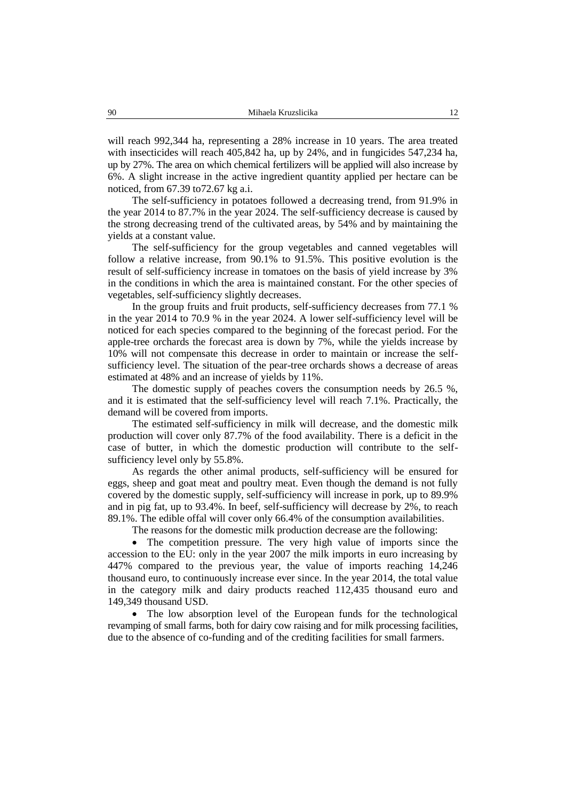will reach 992,344 ha, representing a 28% increase in 10 years. The area treated with insecticides will reach 405,842 ha, up by 24%, and in fungicides 547,234 ha, up by 27%. The area on which chemical fertilizers will be applied will also increase by 6%. A slight increase in the active ingredient quantity applied per hectare can be noticed, from 67.39 to72.67 kg a.i.

The self-sufficiency in potatoes followed a decreasing trend, from 91.9% in the year 2014 to 87.7% in the year 2024. The self-sufficiency decrease is caused by the strong decreasing trend of the cultivated areas, by 54% and by maintaining the yields at a constant value.

The self-sufficiency for the group vegetables and canned vegetables will follow a relative increase, from 90.1% to 91.5%. This positive evolution is the result of self-sufficiency increase in tomatoes on the basis of yield increase by 3% in the conditions in which the area is maintained constant. For the other species of vegetables, self-sufficiency slightly decreases.

In the group fruits and fruit products, self-sufficiency decreases from 77.1 % in the year 2014 to 70.9 % in the year 2024. A lower self-sufficiency level will be noticed for each species compared to the beginning of the forecast period. For the apple-tree orchards the forecast area is down by 7%, while the yields increase by 10% will not compensate this decrease in order to maintain or increase the selfsufficiency level. The situation of the pear-tree orchards shows a decrease of areas estimated at 48% and an increase of yields by 11%.

The domestic supply of peaches covers the consumption needs by 26.5 %, and it is estimated that the self-sufficiency level will reach 7.1%. Practically, the demand will be covered from imports.

The estimated self-sufficiency in milk will decrease, and the domestic milk production will cover only 87.7% of the food availability. There is a deficit in the case of butter, in which the domestic production will contribute to the selfsufficiency level only by 55.8%.

As regards the other animal products, self-sufficiency will be ensured for eggs, sheep and goat meat and poultry meat. Even though the demand is not fully covered by the domestic supply, self-sufficiency will increase in pork, up to 89.9% and in pig fat, up to 93.4%. In beef, self-sufficiency will decrease by 2%, to reach 89.1%. The edible offal will cover only 66.4% of the consumption availabilities.

The reasons for the domestic milk production decrease are the following:

 The competition pressure. The very high value of imports since the accession to the EU: only in the year 2007 the milk imports in euro increasing by 447% compared to the previous year, the value of imports reaching 14,246 thousand euro, to continuously increase ever since. In the year 2014, the total value in the category milk and dairy products reached 112,435 thousand euro and 149,349 thousand USD.

 The low absorption level of the European funds for the technological revamping of small farms, both for dairy cow raising and for milk processing facilities, due to the absence of co-funding and of the crediting facilities for small farmers.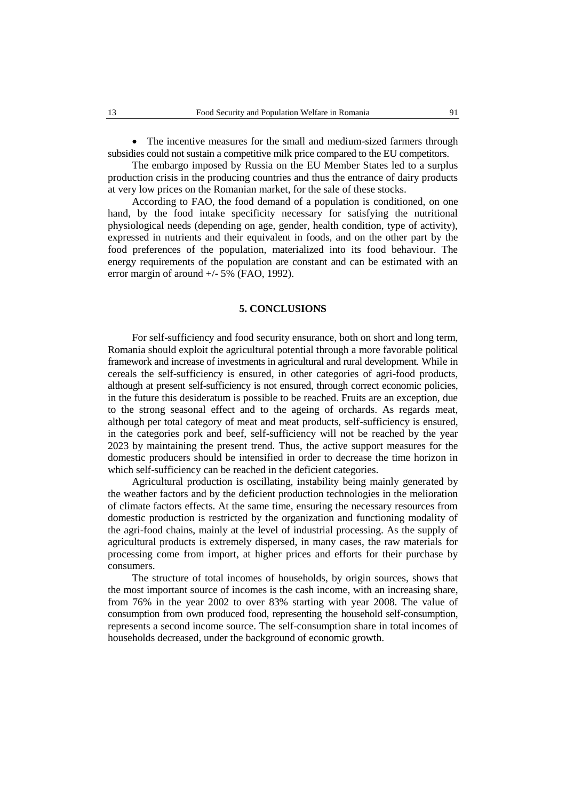• The incentive measures for the small and medium-sized farmers through subsidies could not sustain a competitive milk price compared to the EU competitors.

The embargo imposed by Russia on the EU Member States led to a surplus production crisis in the producing countries and thus the entrance of dairy products at very low prices on the Romanian market, for the sale of these stocks.

According to FAO, the food demand of a population is conditioned, on one hand, by the food intake specificity necessary for satisfying the nutritional physiological needs (depending on age, gender, health condition, type of activity), expressed in nutrients and their equivalent in foods, and on the other part by the food preferences of the population, materialized into its food behaviour. The energy requirements of the population are constant and can be estimated with an error margin of around +/- 5% (FAO, 1992).

# **5. CONCLUSIONS**

For self-sufficiency and food security ensurance, both on short and long term, Romania should exploit the agricultural potential through a more favorable political framework and increase of investments in agricultural and rural development. While in cereals the self-sufficiency is ensured, in other categories of agri-food products, although at present self-sufficiency is not ensured, through correct economic policies, in the future this desideratum is possible to be reached. Fruits are an exception, due to the strong seasonal effect and to the ageing of orchards. As regards meat, although per total category of meat and meat products, self-sufficiency is ensured, in the categories pork and beef, self-sufficiency will not be reached by the year 2023 by maintaining the present trend. Thus, the active support measures for the domestic producers should be intensified in order to decrease the time horizon in which self-sufficiency can be reached in the deficient categories.

Agricultural production is oscillating, instability being mainly generated by the weather factors and by the deficient production technologies in the melioration of climate factors effects. At the same time, ensuring the necessary resources from domestic production is restricted by the organization and functioning modality of the agri-food chains, mainly at the level of industrial processing. As the supply of agricultural products is extremely dispersed, in many cases, the raw materials for processing come from import, at higher prices and efforts for their purchase by consumers.

The structure of total incomes of households, by origin sources, shows that the most important source of incomes is the cash income, with an increasing share, from 76% in the year 2002 to over 83% starting with year 2008. The value of consumption from own produced food, representing the household self-consumption, represents a second income source. The self-consumption share in total incomes of households decreased, under the background of economic growth.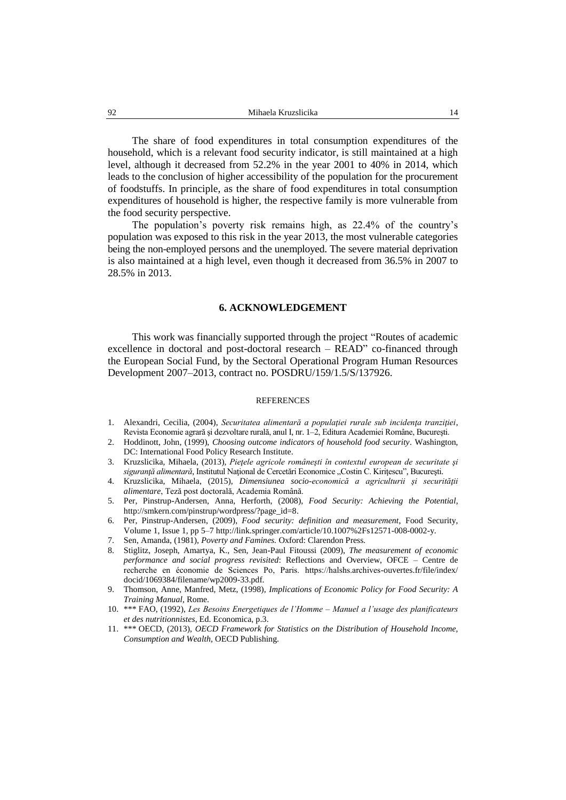The share of food expenditures in total consumption expenditures of the household, which is a relevant food security indicator, is still maintained at a high level, although it decreased from 52.2% in the year 2001 to 40% in 2014, which leads to the conclusion of higher accessibility of the population for the procurement of foodstuffs. In principle, as the share of food expenditures in total consumption expenditures of household is higher, the respective family is more vulnerable from the food security perspective.

The population's poverty risk remains high, as 22.4% of the country's population was exposed to this risk in the year 2013, the most vulnerable categories being the non-employed persons and the unemployed. The severe material deprivation is also maintained at a high level, even though it decreased from 36.5% in 2007 to 28.5% in 2013.

# **6. ACKNOWLEDGEMENT**

This work was financially supported through the project "Routes of academic excellence in doctoral and post-doctoral research – READ" co-financed through the European Social Fund, by the Sectoral Operational Program Human Resources Development 2007–2013, contract no. POSDRU/159/1.5/S/137926.

### REFERENCES

- 1. Alexandri, Cecilia, (2004), *Securitatea alimentară a populaţiei rurale sub incidenţa tranziţiei*, Revista Economie agrară şi dezvoltare rurală, anul I, nr. 1–2, Editura Academiei Române, Bucureşti.
- 2. Hoddinott, John, (1999), *Choosing outcome indicators of household food security*. Washington, DC: International Food Policy Research Institute.
- 3. Kruzslicika, Mihaela, (2013), *Pieţele agricole româneşti în contextul european de securitate şi*  siguranță alimentară, Institutul Național de Cercetări Economice "Costin C. Kirițescu", București.
- 4. Kruzslicika, Mihaela, (2015), *Dimensiunea socio-economică a agriculturii şi securităţii alimentare*, Teză post doctorală, Academia Română.
- 5. Per, Pinstrup-Andersen, Anna, Herforth, (2008), *Food Security: Achieving the Potential*, http://smkern.com/pinstrup/wordpress/?page\_id=8.
- 6. Per, Pinstrup-Andersen, (2009), *Food security: definition and measurement*, Food Security, Volume 1, Issue 1, pp 5–7 http://link.springer.com/article/10.1007%2Fs12571-008-0002-y.
- 7. Sen, Amanda, (1981), *Poverty and Famines.* Oxford: Clarendon Press.
- 8. Stiglitz, Joseph, Amartya, K., Sen, Jean-Paul Fitoussi (2009), *The measurement of economic performance and social progress revisited*: Reflections and Overview, OFCE – Centre de recherche en économie de Sciences Po, Paris. https://halshs.archives-ouvertes.fr/file/index/ docid/1069384/filename/wp2009-33.pdf.
- 9. Thomson, Anne, Manfred, Metz, (1998), *Implications of Economic Policy for Food Security: A Training Manual*, Rome.
- 10. \*\*\* FAO, (1992), *Les Besoins Energetiques de l'Homme – Manuel a l'usage des planificateurs et des nutritionnistes*, Ed. Economica, p.3.
- 11. \*\*\* OECD, (2013), *OECD Framework for Statistics on the Distribution of Household Income, Consumption and Wealth*, OECD Publishing.